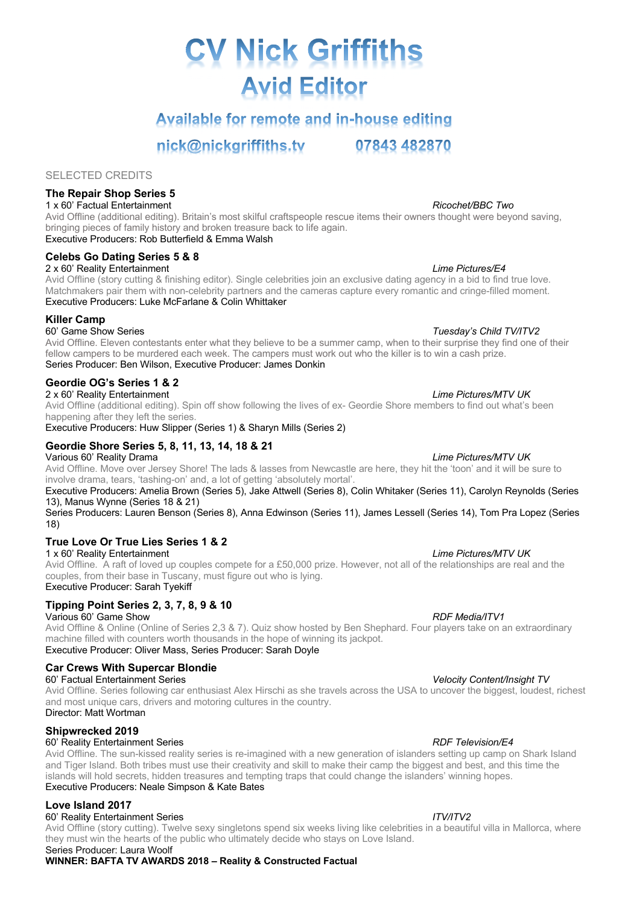# **CV Nick Griffiths Avid Editor**

## Available for remote and in-house editing

nick@nickgriffiths.tv

SELECTED CREDITS

## **The Repair Shop Series 5**

1 x 60' Factual Entertainment *Ricochet/BBC Two* Avid Offline (additional editing). Britain's most skilful craftspeople rescue items their owners thought were beyond saving, bringing pieces of family history and broken treasure back to life again. Executive Producers: Rob Butterfield & Emma Walsh

## **Celebs Go Dating Series 5 & 8**

2 x 60' Reality Entertainment *Lime Pictures/E4*

Avid Offline (story cutting & finishing editor). Single celebrities join an exclusive dating agency in a bid to find true love. Matchmakers pair them with non-celebrity partners and the cameras capture every romantic and cringe-filled moment. Executive Producers: Luke McFarlane & Colin Whittaker

## **Killer Camp**

60' Game Show Series *Tuesday's Child TV/ITV2*

Avid Offline. Eleven contestants enter what they believe to be a summer camp, when to their surprise they find one of their fellow campers to be murdered each week. The campers must work out who the killer is to win a cash prize. Series Producer: Ben Wilson, Executive Producer: James Donkin

## **Geordie OG's Series 1 & 2**

2 x 60' Reality Entertainment *Lime Pictures/MTV UK* Avid Offline (additional editing). Spin off show following the lives of ex- Geordie Shore members to find out what's been happening after they left the series.

Executive Producers: Huw Slipper (Series 1) & Sharyn Mills (Series 2)

## **Geordie Shore Series 5, 8, 11, 13, 14, 18 & 21**

Various 60' Reality Drama *Lime Pictures/MTV UK* Avid Offline. Move over Jersey Shore! The lads & lasses from Newcastle are here, they hit the 'toon' and it will be sure to involve drama, tears, 'tashing-on' and, a lot of getting 'absolutely mortal'.

Executive Producers: Amelia Brown (Series 5), Jake Attwell (Series 8), Colin Whitaker (Series 11), Carolyn Reynolds (Series 13), Manus Wynne (Series 18 & 21)

Series Producers: Lauren Benson (Series 8), Anna Edwinson (Series 11), James Lessell (Series 14), Tom Pra Lopez (Series 18)

## **True Love Or True Lies Series 1 & 2**

1 x 60' Reality Entertainment *Lime Pictures/MTV UK*

Avid Offline. A raft of loved up couples compete for a £50,000 prize. However, not all of the relationships are real and the couples, from their base in Tuscany, must figure out who is lying. Executive Producer: Sarah Tyekiff

## **Tipping Point Series 2, 3, 7, 8, 9 & 10**

Various 60' Game Show *RDF Media/ITV1*

Avid Offline & Online (Online of Series 2,3 & 7). Quiz show hosted by Ben Shephard. Four players take on an extraordinary machine filled with counters worth thousands in the hope of winning its jackpot. Executive Producer: Oliver Mass, Series Producer: Sarah Doyle

## **Car Crews With Supercar Blondie**

60' Factual Entertainment Series *Velocity Content/Insight TV*

Avid Offline. Series following car enthusiast Alex Hirschi as she travels across the USA to uncover the biggest, loudest, richest and most unique cars, drivers and motoring cultures in the country. Director: Matt Wortman

## **Shipwrecked 2019**

## 60' Reality Entertainment Series *RDF Television/E4*

Avid Offline. The sun-kissed reality series is re-imagined with a new generation of islanders setting up camp on Shark Island and Tiger Island. Both tribes must use their creativity and skill to make their camp the biggest and best, and this time the islands will hold secrets, hidden treasures and tempting traps that could change the islanders' winning hopes. Executive Producers: Neale Simpson & Kate Bates

## **Love Island 2017**

## 60' Reality Entertainment Series *ITV/ITV2*

Avid Offline (story cutting). Twelve sexy singletons spend six weeks living like celebrities in a beautiful villa in Mallorca, where they must win the hearts of the public who ultimately decide who stays on Love Island. Series Producer: Laura Woolf

**WINNER: BAFTA TV AWARDS 2018 – Reality & Constructed Factual**

07843 482870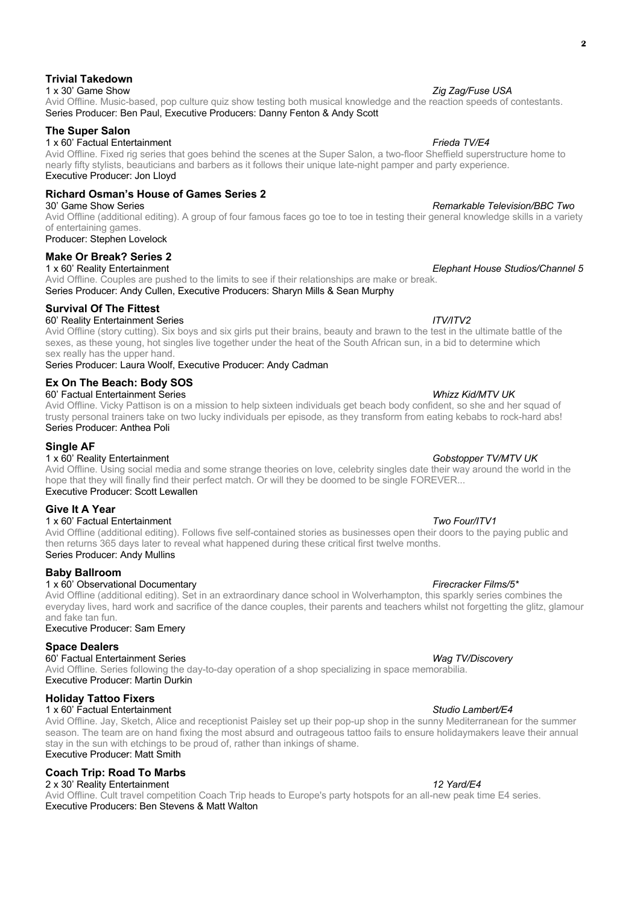## Avid Offline. Music-based, pop culture quiz show testing both musical knowledge and the reaction speeds of contestants. Series Producer: Ben Paul, Executive Producers: Danny Fenton & Andy Scott

## **The Super Salon**

## 1 x 60' Factual Entertainment *Frieda TV/E4*

Avid Offline. Fixed rig series that goes behind the scenes at the Super Salon, a two-floor Sheffield superstructure home to nearly fifty stylists, beauticians and barbers as it follows their unique late-night pamper and party experience. Executive Producer: Jon Lloyd

## **Richard Osman's House of Games Series 2**

Avid Offline (additional editing). A group of four famous faces go toe to toe in testing their general knowledge skills in a variety of entertaining games.

Producer: Stephen Lovelock

## **Make Or Break? Series 2**<br>1 x 60' Reality Entertainment

1 x 60' Reality Entertainment *Elephant House Studios/Channel 5* Avid Offline. Couples are pushed to the limits to see if their relationships are make or break. Series Producer: Andy Cullen, Executive Producers: Sharyn Mills & Sean Murphy

## **Survival Of The Fittest**

60' Reality Entertainment Series *ITV/ITV2* Avid Offline (story cutting). Six boys and six girls put their brains, beauty and brawn to the test in the ultimate battle of the sexes, as these young, hot singles live together under the heat of the South African sun, in a bid to determine which sex really has the upper hand.

Series Producer: Laura Woolf, Executive Producer: Andy Cadman

## **Ex On The Beach: Body SOS**

60' Factual Entertainment Series *Whizz Kid/MTV UK* Avid Offline. Vicky Pattison is on a mission to help sixteen individuals get beach body confident, so she and her squad of trusty personal trainers take on two lucky individuals per episode, as they transform from eating kebabs to rock-hard abs! Series Producer: Anthea Poli

## **Single AF**

## 1 x 60' Reality Entertainment *Gobstopper TV/MTV UK*

Avid Offline. Using social media and some strange theories on love, celebrity singles date their way around the world in the hope that they will finally find their perfect match. Or will they be doomed to be single FOREVER... Executive Producer: Scott Lewallen

## **Give It A Year**

1 x 60' Factual Entertainment *Two Four/ITV1*

Avid Offline (additional editing). Follows five self-contained stories as businesses open their doors to the paying public and then returns 365 days later to reveal what happened during these critical first twelve months. Series Producer: Andy Mullins

## **Baby Ballroom**

## 1 x 60' Observational Documentary *Firecracker Films/5\**

Avid Offline (additional editing). Set in an extraordinary dance school in Wolverhampton, this sparkly series combines the everyday lives, hard work and sacrifice of the dance couples, their parents and teachers whilst not forgetting the glitz, glamour and fake tan fun.

## Executive Producer: Sam Emery

## **Space Dealers**

60' Factual Entertainment Series *Wag TV/Discovery*

Avid Offline. Series following the day-to-day operation of a shop specializing in space memorabilia. Executive Producer: Martin Durkin

## **Holiday Tattoo Fixers**

1 x 60' Factual Entertainment *Studio Lambert/E4* Avid Offline. Jay, Sketch, Alice and receptionist Paisley set up their pop-up shop in the sunny Mediterranean for the summer season. The team are on hand fixing the most absurd and outrageous tattoo fails to ensure holidaymakers leave their annual stay in the sun with etchings to be proud of, rather than inkings of shame.

## Executive Producer: Matt Smith **Coach Trip: Road To Marbs**

2 x 30' Reality Entertainment *12 Yard/E4* Avid Offline. Cult travel competition Coach Trip heads to Europe's party hotspots for an all-new peak time E4 series. Executive Producers: Ben Stevens & Matt Walton

## 30' Game Show Series *Remarkable Television/BBC Two*

## **Trivial Takedown**

## 1 x 30' Game Show *Zig Zag/Fuse USA*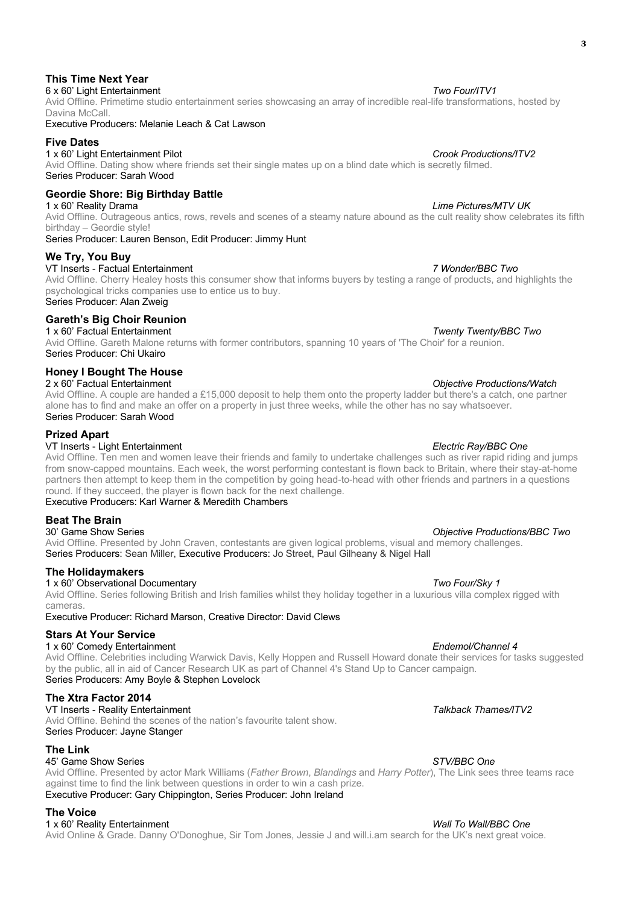## Avid Offline. Primetime studio entertainment series showcasing an array of incredible real-life transformations, hosted by Davina McCall.

## Executive Producers: Melanie Leach & Cat Lawson

## **Five Dates**

1 x 60' Light Entertainment Pilot *Crook Productions/ITV2*

**This Time Next Year**

Avid Offline. Dating show where friends set their single mates up on a blind date which is secretly filmed. Series Producer: Sarah Wood

## **Geordie Shore: Big Birthday Battle**

Avid Offline. Outrageous antics, rows, revels and scenes of a steamy nature abound as the cult reality show celebrates its fifth birthday – Geordie style!

Series Producer: Lauren Benson, Edit Producer: Jimmy Hunt

## **We Try, You Buy**

VT Inserts - Factual Entertainment *7 Wonder/BBC Two*

Avid Offline. Cherry Healey hosts this consumer show that informs buyers by testing a range of products, and highlights the psychological tricks companies use to entice us to buy. Series Producer: Alan Zweig

## **Gareth's Big Choir Reunion**

1 x 60' Factual Entertainment *Twenty Twenty/BBC Two* Avid Offline. Gareth Malone returns with former contributors, spanning 10 years of 'The Choir' for a reunion. Series Producer: Chi Ukairo

## **Honey I Bought The House**

## 2 x 60' Factual Entertainment *Objective Productions/Watch*

Avid Offline. A couple are handed a £15,000 deposit to help them onto the property ladder but there's a catch, one partner alone has to find and make an offer on a property in just three weeks, while the other has no say whatsoever. Series Producer: Sarah Wood

## **Prized Apart**

## VT Inserts - Light Entertainment *Electric Ray/BBC One*

Avid Offline. Ten men and women leave their friends and family to undertake challenges such as river rapid riding and jumps from snow-capped mountains. Each week, the worst performing contestant is flown back to Britain, where their stay-at-home partners then attempt to keep them in the competition by going head-to-head with other friends and partners in a questions round. If they succeed, the player is flown back for the next challenge.

## Executive Producers: Karl Warner & Meredith Chambers

## **Beat The Brain**<br>30' Game Show Series

Avid Offline. Presented by John Craven, contestants are given logical problems, visual and memory challenges. Series Producers: Sean Miller, Executive Producers: Jo Street, Paul Gilheany & Nigel Hall

## **The Holidaymakers**

## 1 x 60' Observational Documentary *Two Four/Sky 1* Avid Offline. Series following British and Irish families whilst they holiday together in a luxurious villa complex rigged with cameras.

Executive Producer: Richard Marson, Creative Director: David Clews

## **Stars At Your Service**

## 1 x 60' Comedy Entertainment *Endemol/Channel 4*

Avid Offline. Celebrities including Warwick Davis, Kelly Hoppen and Russell Howard donate their services for tasks suggested by the public, all in aid of Cancer Research UK as part of Channel 4's Stand Up to Cancer campaign. Series Producers: Amy Boyle & Stephen Lovelock

## **The Xtra Factor 2014**

VT Inserts - Reality Entertainment *Talkback Thames/ITV2* Avid Offline. Behind the scenes of the nation's favourite talent show. Series Producer: Jayne Stanger

## **The Link**

## 45' Game Show Series *STV/BBC One*

Avid Offline. Presented by actor Mark Williams (*Father Brown*, *Blandings* and *Harry Potter*), The Link sees three teams race against time to find the link between questions in order to win a cash prize. Executive Producer: Gary Chippington, Series Producer: John Ireland

## **The Voice**

1 x 60' Reality Entertainment *Wall To Wall/BBC One* Avid Online & Grade. Danny O'Donoghue, Sir Tom Jones, Jessie J and will.i.am search for the UK's next great voice.

## 6 x 60' Light Entertainment *Two Four/ITV1*

## 1 x 60' Reality Drama *Lime Pictures/MTV UK*

30' Game Show Series *Objective Productions/BBC Two*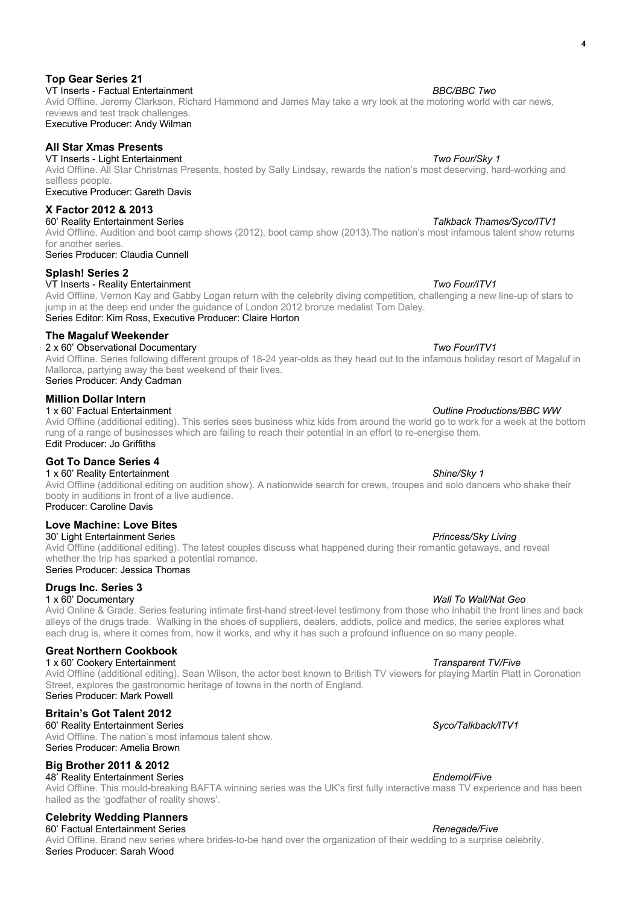## Avid Offline. Jeremy Clarkson, Richard Hammond and James May take a wry look at the motoring world with car news, reviews and test track challenges.

Executive Producer: Andy Wilman

## **All Star Xmas Presents**

**Top Gear Series 21**

VT Inserts - Light Entertainment *Two Four/Sky 1* Avid Offline. All Star Christmas Presents, hosted by Sally Lindsay, rewards the nation's most deserving, hard-working and selfless people.

Executive Producer: Gareth Davis

## **X Factor 2012 & 2013**

60' Reality Entertainment Series *Talkback Thames/Syco/ITV1* Avid Offline. Audition and boot camp shows (2012), boot camp show (2013).The nation's most infamous talent show returns for another series.

Series Producer: Claudia Cunnell

## **Splash! Series 2**

VT Inserts - Reality Entertainment *Two Four/ITV1*

Avid Offline. Vernon Kay and Gabby Logan return with the celebrity diving competition, challenging a new line-up of stars to jump in at the deep end under the guidance of London 2012 bronze medalist Tom Daley. Series Editor: Kim Ross, Executive Producer: Claire Horton

## **The Magaluf Weekender**

## 2 x 60' Observational Documentary *Two Four/ITV1*

Avid Offline. Series following different groups of 18-24 year-olds as they head out to the infamous holiday resort of Magaluf in Mallorca, partying away the best weekend of their lives.

Series Producer: Andy Cadman

## **Million Dollar Intern**

1 x 60' Factual Entertainment *Outline Productions/BBC WW* Avid Offline (additional editing). This series sees business whiz kids from around the world go to work for a week at the bottom rung of a range of businesses which are failing to reach their potential in an effort to re-energise them.

Edit Producer: Jo Griffiths

## **Got To Dance Series 4** 1 x 60' Reality Entertainment *Shine/Sky 1*

Avid Offline (additional editing on audition show). A nationwide search for crews, troupes and solo dancers who shake their booty in auditions in front of a live audience. Producer: Caroline Davis

## **Love Machine: Love Bites**

30' Light Entertainment Series *Princess/Sky Living*

Avid Offline (additional editing). The latest couples discuss what happened during their romantic getaways, and reveal whether the trip has sparked a potential romance. Series Producer: Jessica Thomas

## **Drugs Inc. Series 3**

## 1 x 60' Documentary *Wall To Wall/Nat Geo*

Avid Online & Grade. Series featuring intimate first-hand street-level testimony from those who inhabit the front lines and back alleys of the drugs trade. Walking in the shoes of suppliers, dealers, addicts, police and medics, the series explores what each drug is, where it comes from, how it works, and why it has such a profound influence on so many people.

## **Great Northern Cookbook**

1 x 60' Cookery Entertainment *Transparent TV/Five* Avid Offline (additional editing). Sean Wilson, the actor best known to British TV viewers for playing Martin Platt in Coronation Street, explores the gastronomic heritage of towns in the north of England. Series Producer: Mark Powell

## **Britain's Got Talent 2012**

60' Reality Entertainment Series *Syco/Talkback/ITV1* Avid Offline. The nation's most infamous talent show. Series Producer: Amelia Brown

## **Big Brother 2011 & 2012**

48' Reality Entertainment Series *Endemol/Five*

Avid Offline. This mould-breaking BAFTA winning series was the UK's first fully interactive mass TV experience and has been hailed as the 'godfather of reality shows'.

## **Celebrity Wedding Planners**

60' Factual Entertainment Series *Renegade/Five* Avid Offline. Brand new series where brides-to-be hand over the organization of their wedding to a surprise celebrity. Series Producer: Sarah Wood

## VT Inserts - Factual Entertainment *BBC/BBC Two*